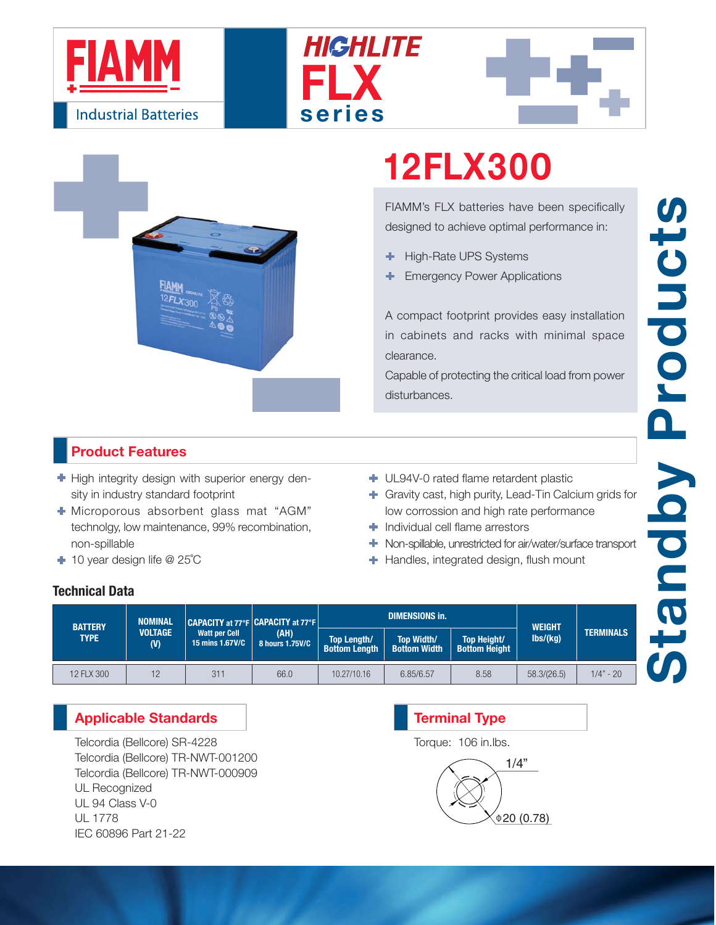







# **12FLX300**

FIAMM's FLX batteries have been specifically designed to achieve optimal performance in:

- High-Rate UPS Systems ٠
- Emergency Power Applications

A compact footprint provides easy installation in cabinets and racks with minimal space clearance.

Capable of protecting the critical load from power disturbances.

### **Product Features**

 $\blacktriangleright$  High integrity design with superior energy density in industry standard footprint

- Microporous absorbent glass mat "AGM" technolgy, low maintenance, 99% recombination, non-spillable
- 10 year design life @ 25˚C
- UL94V-0 rated flame retardent plastic
- Gravity cast, high purity, Lead-Tin Calcium grids for low corrossion and high rate performance
- **Individual cell flame arrestors**
- Non-spillable, unrestricted for air/water/surface transport
- **+** Handles, integrated design, flush mount

### **Technical Data**

| <b>BATTERY</b><br><b>TYPE</b> | <b>NOMINAL</b><br><b>VOLTAGE</b><br>(V) | CAPACITY at 77°F CAPACITY at 77°F<br><b>Watt per Cell</b><br>15 mins 1.67V/C | (AH)<br>8 hours 1.75V/C |                                            | <b>DIMENSIONS in.</b>                    | <b>WEIGHT</b>                       |               |                  |
|-------------------------------|-----------------------------------------|------------------------------------------------------------------------------|-------------------------|--------------------------------------------|------------------------------------------|-------------------------------------|---------------|------------------|
|                               |                                         |                                                                              |                         | <b>Top Length/</b><br><b>Bottom Length</b> | <b>Top Width/</b><br><b>Bottom Width</b> | Top Height/<br><b>Bottom Height</b> | $\frac{1}{s}$ | <b>TERMINALS</b> |
| 12 FLX 300                    | 12                                      | 311                                                                          | 66.0                    | 10.27/10.16                                | 6.85/6.57                                | 8.58                                | 58.3/(26.5)   | $1/4" - 20$      |

### **Applicable Standards**

Telcordia (Bellcore) SR-4228 Telcordia (Bellcore) TR-NWT-001200 Telcordia (Bellcore) TR-NWT-000909 UL Recognized UL 94 Class V-0 UL 1778 IEC 60896 Part 21-22

## 1/4"  $0.78$ **Terminal Type** Torque: 106 in.lbs.